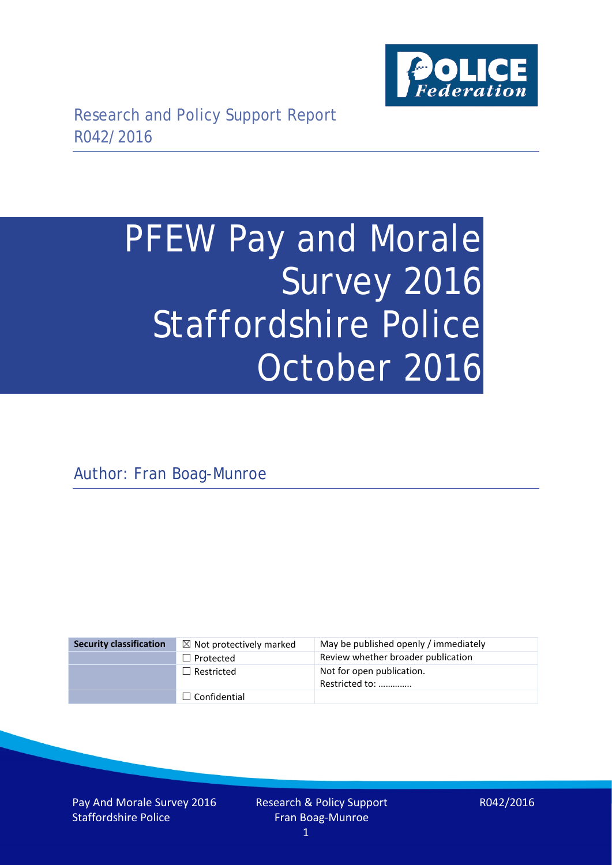

# PFEW Pay and Morale Survey 2016 Staffordshire Police October 2016

Author: Fran Boag-Munroe

| <b>Security classification</b> | $\boxtimes$ Not protectively marked | May be published openly / immediately       |
|--------------------------------|-------------------------------------|---------------------------------------------|
|                                | $\Box$ Protected                    | Review whether broader publication          |
|                                | $\Box$ Restricted                   | Not for open publication.<br>Restricted to: |
|                                | $\Box$ Confidential                 |                                             |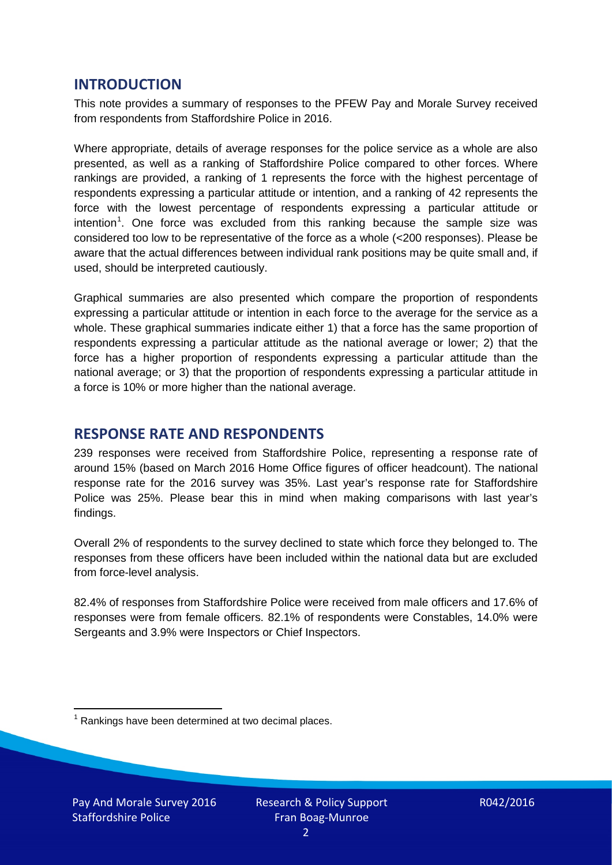## **INTRODUCTION**

This note provides a summary of responses to the PFEW Pay and Morale Survey received from respondents from Staffordshire Police in 2016.

Where appropriate, details of average responses for the police service as a whole are also presented, as well as a ranking of Staffordshire Police compared to other forces. Where rankings are provided, a ranking of 1 represents the force with the highest percentage of respondents expressing a particular attitude or intention, and a ranking of 42 represents the force with the lowest percentage of respondents expressing a particular attitude or intention<sup>[1](#page-1-0)</sup>. One force was excluded from this ranking because the sample size was considered too low to be representative of the force as a whole (<200 responses). Please be aware that the actual differences between individual rank positions may be quite small and, if used, should be interpreted cautiously.

Graphical summaries are also presented which compare the proportion of respondents expressing a particular attitude or intention in each force to the average for the service as a whole. These graphical summaries indicate either 1) that a force has the same proportion of respondents expressing a particular attitude as the national average or lower; 2) that the force has a higher proportion of respondents expressing a particular attitude than the national average; or 3) that the proportion of respondents expressing a particular attitude in a force is 10% or more higher than the national average.

# **RESPONSE RATE AND RESPONDENTS**

239 responses were received from Staffordshire Police, representing a response rate of around 15% (based on March 2016 Home Office figures of officer headcount). The national response rate for the 2016 survey was 35%. Last year's response rate for Staffordshire Police was 25%. Please bear this in mind when making comparisons with last year's findings.

Overall 2% of respondents to the survey declined to state which force they belonged to. The responses from these officers have been included within the national data but are excluded from force-level analysis.

82.4% of responses from Staffordshire Police were received from male officers and 17.6% of responses were from female officers. 82.1% of respondents were Constables, 14.0% were Sergeants and 3.9% were Inspectors or Chief Inspectors.

<span id="page-1-0"></span> $1$  Rankings have been determined at two decimal places.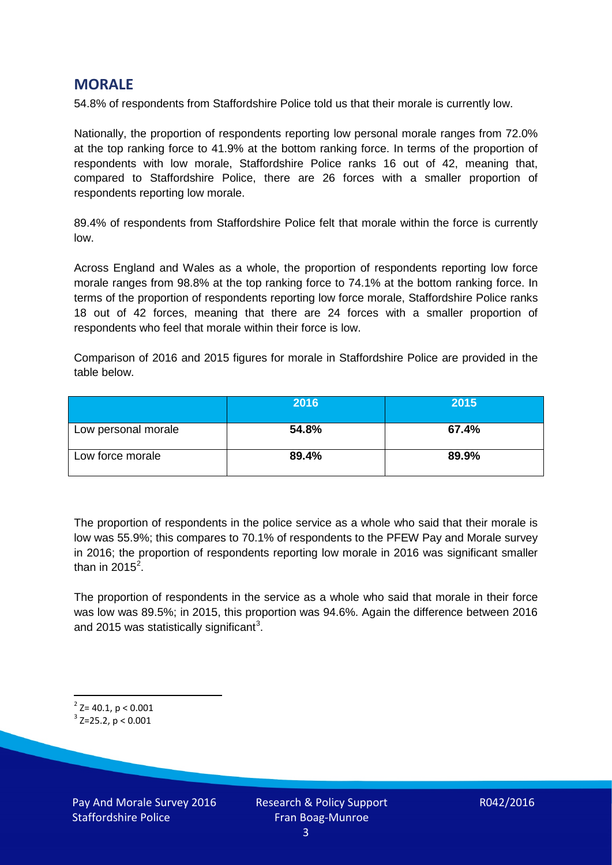# **MORALE**

54.8% of respondents from Staffordshire Police told us that their morale is currently low.

Nationally, the proportion of respondents reporting low personal morale ranges from 72.0% at the top ranking force to 41.9% at the bottom ranking force. In terms of the proportion of respondents with low morale, Staffordshire Police ranks 16 out of 42, meaning that, compared to Staffordshire Police, there are 26 forces with a smaller proportion of respondents reporting low morale.

89.4% of respondents from Staffordshire Police felt that morale within the force is currently low.

Across England and Wales as a whole, the proportion of respondents reporting low force morale ranges from 98.8% at the top ranking force to 74.1% at the bottom ranking force. In terms of the proportion of respondents reporting low force morale, Staffordshire Police ranks 18 out of 42 forces, meaning that there are 24 forces with a smaller proportion of respondents who feel that morale within their force is low.

Comparison of 2016 and 2015 figures for morale in Staffordshire Police are provided in the table below.

|                     | 2016  | 2015  |
|---------------------|-------|-------|
| Low personal morale | 54.8% | 67.4% |
| Low force morale    | 89.4% | 89.9% |

The proportion of respondents in the police service as a whole who said that their morale is low was 55.9%; this compares to 70.1% of respondents to the PFEW Pay and Morale survey in 2016; the proportion of respondents reporting low morale in 2016 was significant smaller than in [2](#page-2-0)015 $^2$ .

The proportion of respondents in the service as a whole who said that morale in their force was low was 89.5%; in 2015, this proportion was 94.6%. Again the difference between 2016 and 2015 was statistically significant<sup>[3](#page-2-1)</sup>.

<span id="page-2-0"></span> $2$ <sup>2</sup> Z= 40.1, p < 0.001

<span id="page-2-1"></span> $3$  Z=25.2, p < 0.001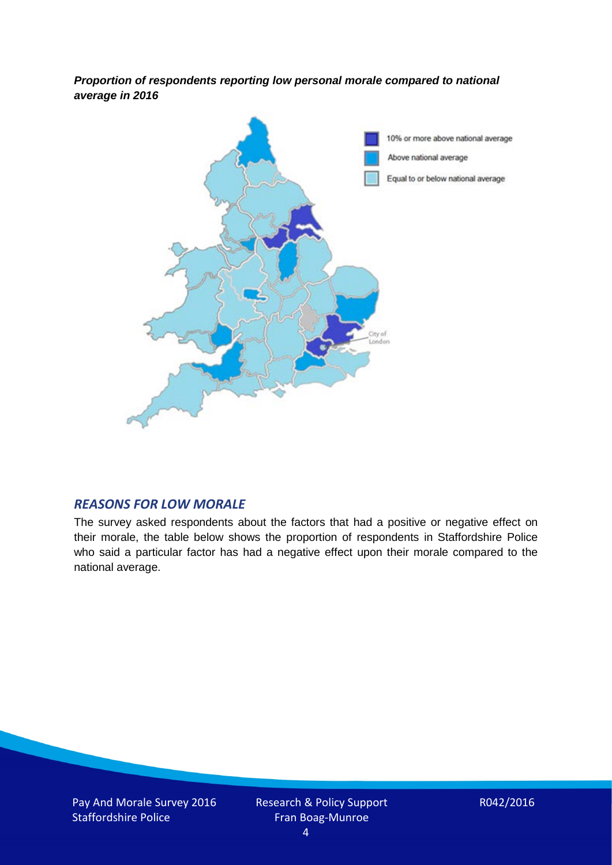*Proportion of respondents reporting low personal morale compared to national average in 2016*



#### *REASONS FOR LOW MORALE*

The survey asked respondents about the factors that had a positive or negative effect on their morale, the table below shows the proportion of respondents in Staffordshire Police who said a particular factor has had a negative effect upon their morale compared to the national average.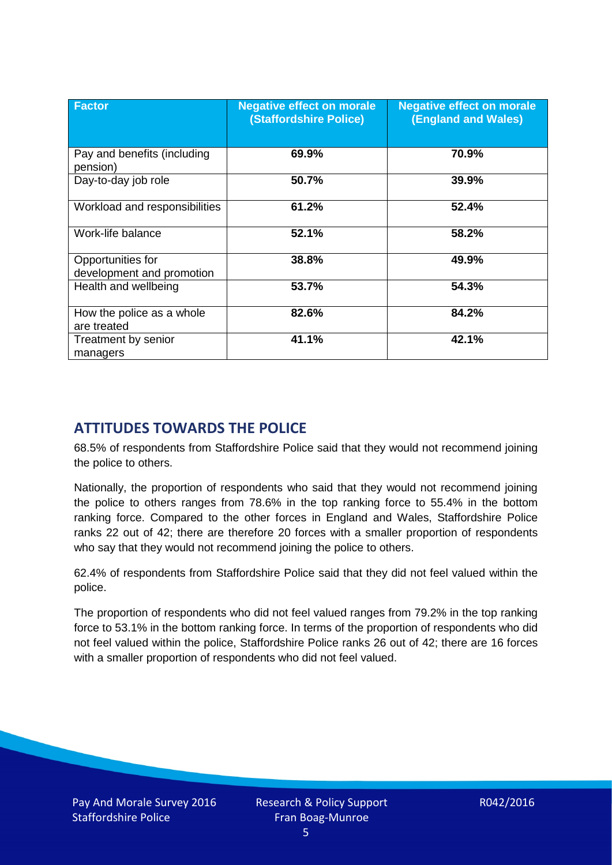| <b>Factor</b>                                  | <b>Negative effect on morale</b><br><b>(Staffordshire Police)</b> | <b>Negative effect on morale</b><br><b>(England and Wales)</b> |
|------------------------------------------------|-------------------------------------------------------------------|----------------------------------------------------------------|
| Pay and benefits (including<br>pension)        | 69.9%                                                             | 70.9%                                                          |
| Day-to-day job role                            | 50.7%                                                             | 39.9%                                                          |
| Workload and responsibilities                  | 61.2%                                                             | 52.4%                                                          |
| Work-life balance                              | 52.1%                                                             | 58.2%                                                          |
| Opportunities for<br>development and promotion | 38.8%                                                             | 49.9%                                                          |
| Health and wellbeing                           | 53.7%                                                             | 54.3%                                                          |
| How the police as a whole<br>are treated       | 82.6%                                                             | 84.2%                                                          |
| Treatment by senior<br>managers                | 41.1%                                                             | 42.1%                                                          |

# **ATTITUDES TOWARDS THE POLICE**

68.5% of respondents from Staffordshire Police said that they would not recommend joining the police to others.

Nationally, the proportion of respondents who said that they would not recommend joining the police to others ranges from 78.6% in the top ranking force to 55.4% in the bottom ranking force. Compared to the other forces in England and Wales, Staffordshire Police ranks 22 out of 42; there are therefore 20 forces with a smaller proportion of respondents who say that they would not recommend joining the police to others.

62.4% of respondents from Staffordshire Police said that they did not feel valued within the police.

The proportion of respondents who did not feel valued ranges from 79.2% in the top ranking force to 53.1% in the bottom ranking force. In terms of the proportion of respondents who did not feel valued within the police, Staffordshire Police ranks 26 out of 42; there are 16 forces with a smaller proportion of respondents who did not feel valued.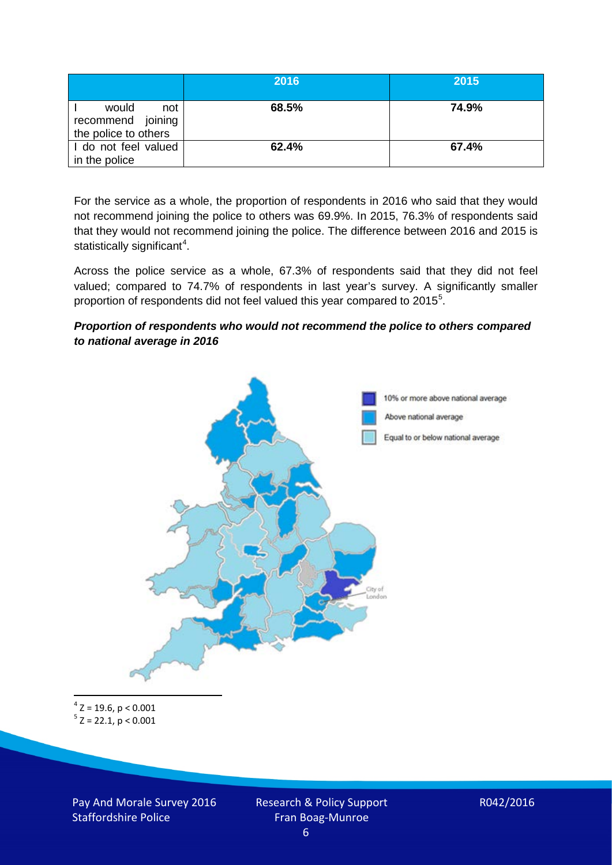|                                                           | 2016  | 2015  |
|-----------------------------------------------------------|-------|-------|
| would<br>not<br>recommend joining<br>the police to others | 68.5% | 74.9% |
| I do not feel valued<br>in the police                     | 62.4% | 67.4% |

For the service as a whole, the proportion of respondents in 2016 who said that they would not recommend joining the police to others was 69.9%. In 2015, 76.3% of respondents said that they would not recommend joining the police. The difference between 2016 and 2015 is statistically significant<sup>[4](#page-5-0)</sup>.

Across the police service as a whole, 67.3% of respondents said that they did not feel valued; compared to 74.7% of respondents in last year's survey. A significantly smaller proportion of respondents did not feel valued this year compared to 201[5](#page-5-1)<sup>5</sup>.

#### *Proportion of respondents who would not recommend the police to others compared to national average in 2016*



<span id="page-5-1"></span><span id="page-5-0"></span> $4$  Z = 19.6, p < 0.001  $5$  Z = 22.1, p < 0.001

Pay And Morale Survey 2016 Staffordshire Police

Research & Policy Support Fran Boag-Munroe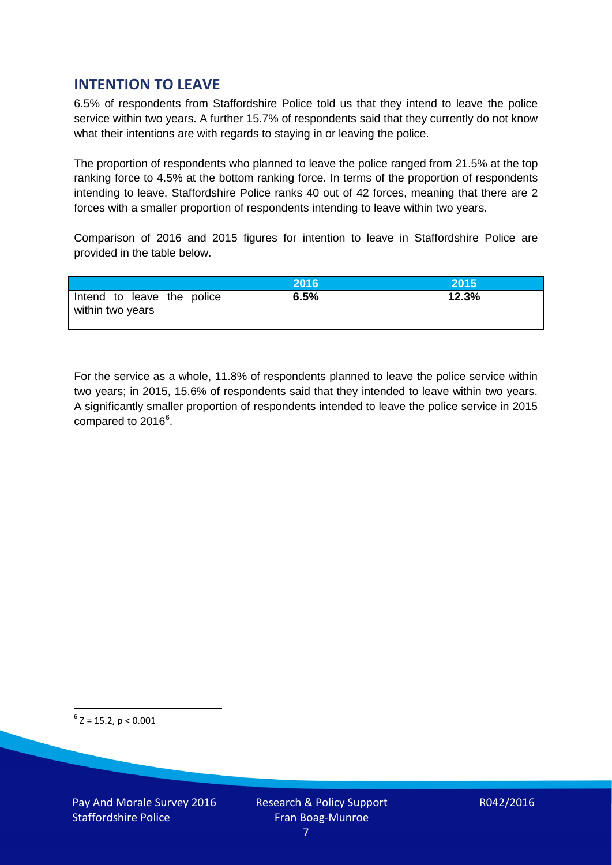# **INTENTION TO LEAVE**

6.5% of respondents from Staffordshire Police told us that they intend to leave the police service within two years. A further 15.7% of respondents said that they currently do not know what their intentions are with regards to staying in or leaving the police.

The proportion of respondents who planned to leave the police ranged from 21.5% at the top ranking force to 4.5% at the bottom ranking force. In terms of the proportion of respondents intending to leave, Staffordshire Police ranks 40 out of 42 forces, meaning that there are 2 forces with a smaller proportion of respondents intending to leave within two years.

Comparison of 2016 and 2015 figures for intention to leave in Staffordshire Police are provided in the table below.

|                                                | 2016 | 2015  |
|------------------------------------------------|------|-------|
| Intend to leave the police<br>within two years | 6.5% | 12.3% |

For the service as a whole, 11.8% of respondents planned to leave the police service within two years; in 2015, 15.6% of respondents said that they intended to leave within two years. A significantly smaller proportion of respondents intended to leave the police service in 2015 compared to 201[6](#page-6-0)<sup>6</sup>.

<span id="page-6-0"></span> $6$  Z = 15.2, p < 0.001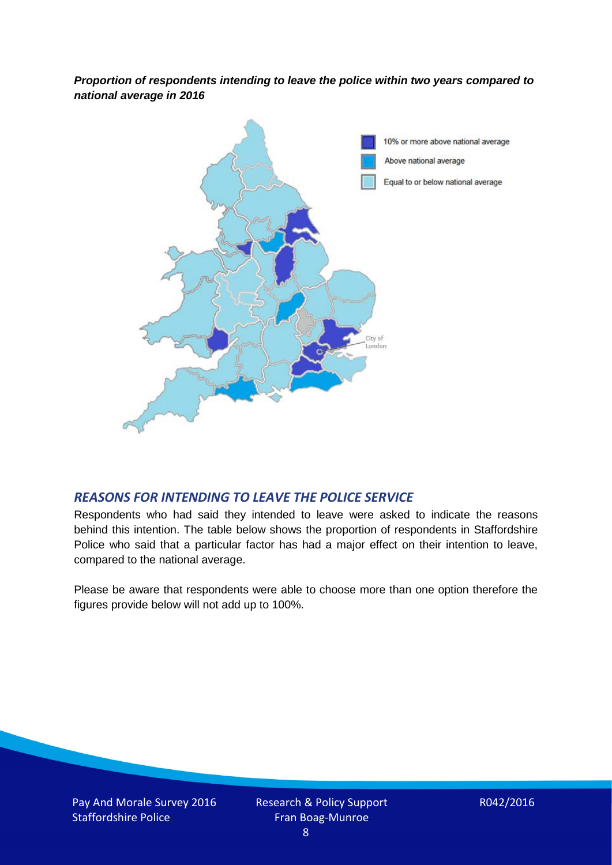*Proportion of respondents intending to leave the police within two years compared to national average in 2016*



### *REASONS FOR INTENDING TO LEAVE THE POLICE SERVICE*

Respondents who had said they intended to leave were asked to indicate the reasons behind this intention. The table below shows the proportion of respondents in Staffordshire Police who said that a particular factor has had a major effect on their intention to leave, compared to the national average.

Please be aware that respondents were able to choose more than one option therefore the figures provide below will not add up to 100%.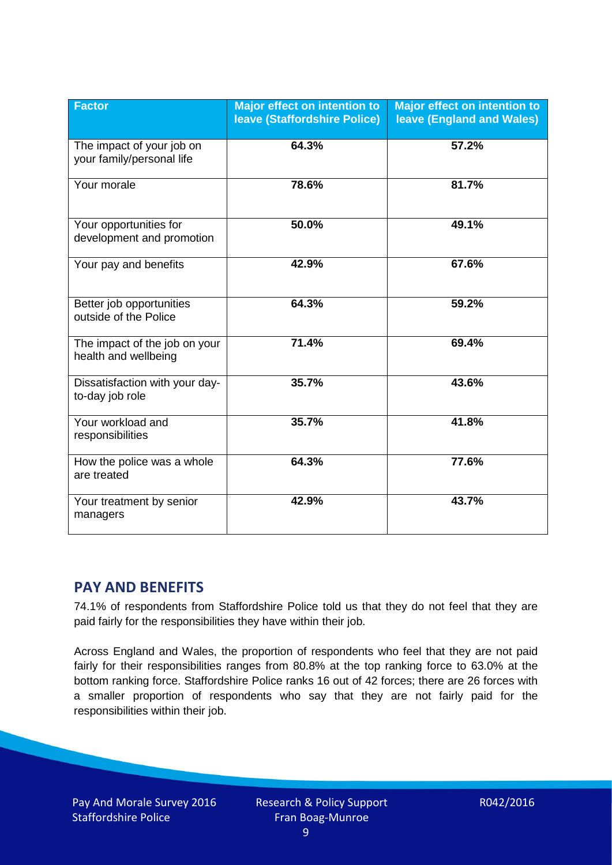| <b>Factor</b>                                          | Major effect on intention to<br><b>leave (Staffordshire Police)</b> | <b>Major effect on intention to</b><br><b>leave (England and Wales)</b> |
|--------------------------------------------------------|---------------------------------------------------------------------|-------------------------------------------------------------------------|
| The impact of your job on<br>your family/personal life | 64.3%                                                               | 57.2%                                                                   |
| Your morale                                            | 78.6%                                                               | 81.7%                                                                   |
| Your opportunities for<br>development and promotion    | 50.0%                                                               | 49.1%                                                                   |
| Your pay and benefits                                  | 42.9%                                                               | 67.6%                                                                   |
| Better job opportunities<br>outside of the Police      | 64.3%                                                               | 59.2%                                                                   |
| The impact of the job on your<br>health and wellbeing  | 71.4%                                                               | 69.4%                                                                   |
| Dissatisfaction with your day-<br>to-day job role      | 35.7%                                                               | 43.6%                                                                   |
| Your workload and<br>responsibilities                  | 35.7%                                                               | 41.8%                                                                   |
| How the police was a whole<br>are treated              | 64.3%                                                               | 77.6%                                                                   |
| Your treatment by senior<br>managers                   | 42.9%                                                               | 43.7%                                                                   |

# **PAY AND BENEFITS**

74.1% of respondents from Staffordshire Police told us that they do not feel that they are paid fairly for the responsibilities they have within their job.

Across England and Wales, the proportion of respondents who feel that they are not paid fairly for their responsibilities ranges from 80.8% at the top ranking force to 63.0% at the bottom ranking force. Staffordshire Police ranks 16 out of 42 forces; there are 26 forces with a smaller proportion of respondents who say that they are not fairly paid for the responsibilities within their job.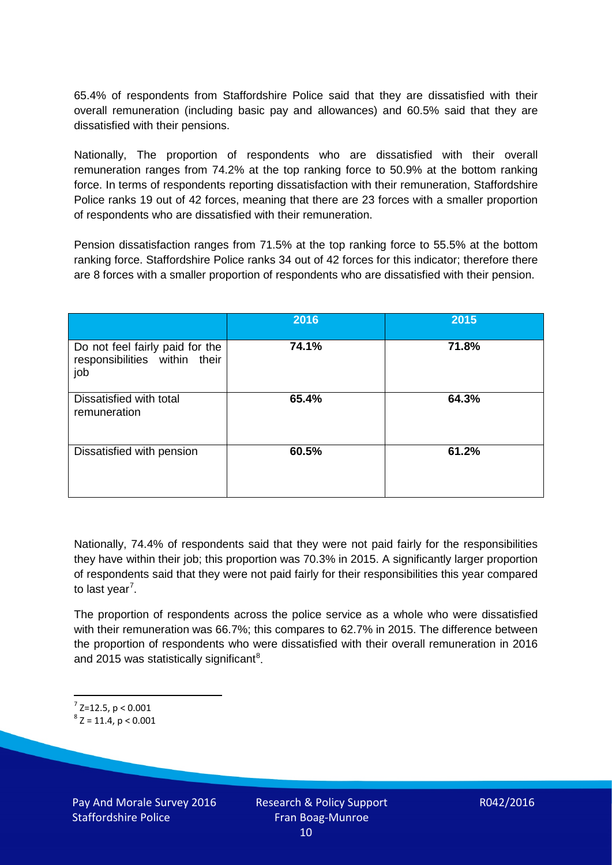65.4% of respondents from Staffordshire Police said that they are dissatisfied with their overall remuneration (including basic pay and allowances) and 60.5% said that they are dissatisfied with their pensions.

Nationally, The proportion of respondents who are dissatisfied with their overall remuneration ranges from 74.2% at the top ranking force to 50.9% at the bottom ranking force. In terms of respondents reporting dissatisfaction with their remuneration, Staffordshire Police ranks 19 out of 42 forces, meaning that there are 23 forces with a smaller proportion of respondents who are dissatisfied with their remuneration.

Pension dissatisfaction ranges from 71.5% at the top ranking force to 55.5% at the bottom ranking force. Staffordshire Police ranks 34 out of 42 forces for this indicator; therefore there are 8 forces with a smaller proportion of respondents who are dissatisfied with their pension.

|                                                                         | 2016  | 2015  |
|-------------------------------------------------------------------------|-------|-------|
| Do not feel fairly paid for the<br>responsibilities within their<br>job | 74.1% | 71.8% |
| Dissatisfied with total<br>remuneration                                 | 65.4% | 64.3% |
| Dissatisfied with pension                                               | 60.5% | 61.2% |

Nationally, 74.4% of respondents said that they were not paid fairly for the responsibilities they have within their job; this proportion was 70.3% in 2015. A significantly larger proportion of respondents said that they were not paid fairly for their responsibilities this year compared to last year<sup>[7](#page-9-0)</sup>.

The proportion of respondents across the police service as a whole who were dissatisfied with their remuneration was 66.7%; this compares to 62.7% in 2015. The difference between the proportion of respondents who were dissatisfied with their overall remuneration in 2016 and 2015 was statistically significant<sup>[8](#page-9-1)</sup>.

<span id="page-9-1"></span><span id="page-9-0"></span> $^7$  Z=12.5, p < 0.001<br> $^8$  Z = 11.4, p < 0.001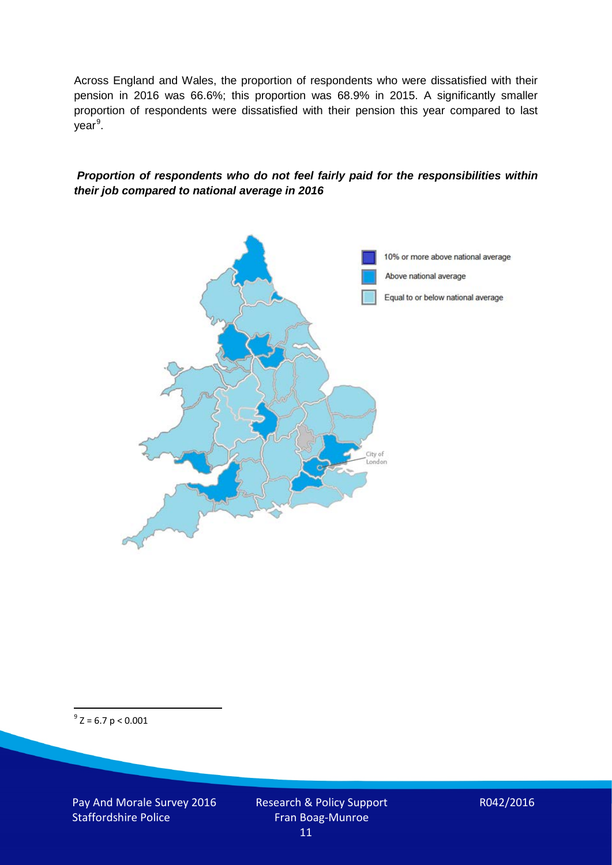Across England and Wales, the proportion of respondents who were dissatisfied with their pension in 2016 was 66.6%; this proportion was 68.9% in 2015. A significantly smaller proportion of respondents were dissatisfied with their pension this year compared to last year<sup>[9](#page-10-0)</sup>.

#### *Proportion of respondents who do not feel fairly paid for the responsibilities within their job compared to national average in 2016*



<span id="page-10-0"></span> $9^9$  Z = 6.7 p < 0.001